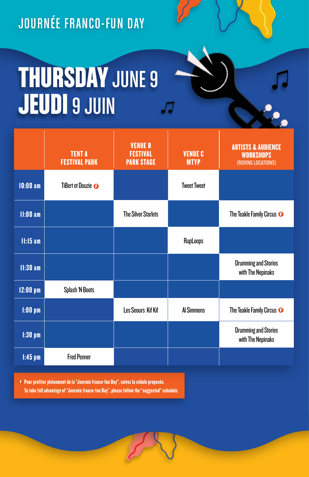JOURNÉE FRANCO-FUN DAY

## **THURSDAY JUNE 9 JEUDI** 9 JUIN

|                   | <b>TENT A</b><br><b>FESTIVAL PARK</b> | <b>VENUE B</b><br><b>FESTIVAL</b><br><b>PARK STAGE</b> | <b>VENUE C</b><br><b>MTYP</b> | <b>ARTISTS &amp; AUDIENCE</b><br><b>WORKSHOPS</b><br>(ROVING LOCATIONS) |
|-------------------|---------------------------------------|--------------------------------------------------------|-------------------------------|-------------------------------------------------------------------------|
| $10:00$ am        | TiBert et Douzie <sup>o</sup>         |                                                        | <b>Tweet Tweet</b>            |                                                                         |
| $11:00$ am        |                                       | <b>The Silver Starlets</b>                             |                               | The Teakle Family Circus <sup>O</sup>                                   |
| $11:15$ am        |                                       |                                                        | RupLoops                      |                                                                         |
| 11:30 am          |                                       |                                                        |                               | <b>Drumming and Stories</b><br>with The Nepinaks                        |
| $12:00~\text{pm}$ | Splash 'N Boots                       |                                                        |                               |                                                                         |
| $1:00$ pm         |                                       | <b>Les Seours Kif Kif</b>                              | <b>Al Simmons</b>             | The Teakle Family Circus <sup>O</sup>                                   |
| $1:30$ pm         |                                       |                                                        |                               | <b>Drumming and Stories</b><br>with The Nepinaks                        |
| $1:45$ pm         | <b>Fred Penner</b>                    |                                                        |                               |                                                                         |

Pour profiter pleinement de la "Journée franco-fun Day", suivez la cédule proposée. To take full advantage of "Journée franco-fun Day", please follow the "suggested" schedule.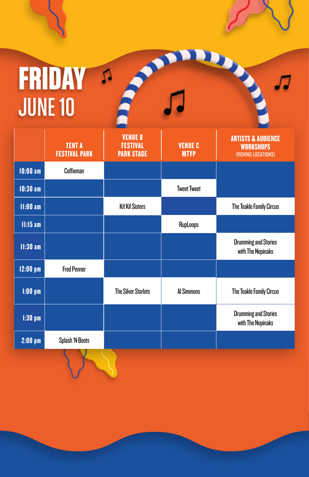## FRIDAY A JUNE 10

|            | <b>TENT A</b><br><b>FESTIVAL PARK</b> | <b>VENUE B</b><br><b>FESTIVAL</b><br><b>PARK STAGE</b> | <b>VENUE C</b><br><b>MTYP</b> | <b>ARTISTS &amp; AUDIENCE</b><br><b>WORKSHOPS</b><br>(ROVING LOCATIONS) |
|------------|---------------------------------------|--------------------------------------------------------|-------------------------------|-------------------------------------------------------------------------|
| $10:00$ am | Coffieman                             |                                                        |                               |                                                                         |
| $10:30$ am |                                       |                                                        | <b>Tweet Tweet</b>            |                                                                         |
| $11:00$ am |                                       | <b>Kif Kif Sisters</b>                                 |                               | The Teakle Family Circus                                                |
| $11:15$ am |                                       |                                                        | <b>RupLoops</b>               |                                                                         |
| $11:30$ am |                                       |                                                        |                               | <b>Drumming and Stories</b><br>with The Nepinaks                        |
| $12:00$ pm | <b>Fred Penner</b>                    |                                                        |                               |                                                                         |
| $1:00$ pm  |                                       | <b>The Silver Starlets</b>                             | <b>Al Simmons</b>             | The Teakle Family Circus                                                |
| $1:30$ pm  |                                       |                                                        |                               | <b>Drumming and Stories</b><br>with The Nepinaks                        |
| $2:00$ pm  | Splash 'N Boots                       |                                                        |                               |                                                                         |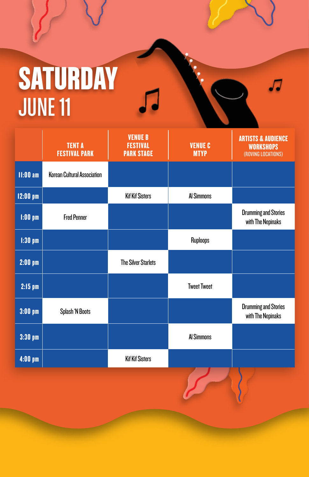## **SATURDAY** JUNE 11

|                    | <b>TENT A</b><br><b>FESTIVAL PARK</b> | <b>VENUE B</b><br><b>FESTIVAL</b><br><b>PARK STAGE</b> | <b>VENUE C</b><br><b>MTYP</b> | <b>ARTISTS &amp; AUDIENCE</b><br><b>WORKSHOPS</b><br>(ROVING LOCATIONS) |
|--------------------|---------------------------------------|--------------------------------------------------------|-------------------------------|-------------------------------------------------------------------------|
| $11:00$ am         | <b>Korean Cultural Association</b>    |                                                        |                               |                                                                         |
| $12:00$ pm         |                                       | <b>Kif Kif Sisters</b>                                 | <b>Al Simmons</b>             |                                                                         |
| $1:00$ pm          | <b>Fred Penner</b>                    |                                                        |                               | <b>Drumming and Stories</b><br>with The Nepinaks                        |
| $1:30$ pm          |                                       |                                                        | Ruploops                      |                                                                         |
| $2:00$ pm          |                                       | <b>The Silver Starlets</b>                             |                               |                                                                         |
| $2:15$ pm          |                                       |                                                        | <b>Tweet Tweet</b>            |                                                                         |
| $3:00~\mathrm{pm}$ | Splash 'N Boots                       |                                                        |                               | <b>Drumming and Stories</b><br>with The Nepinaks                        |
| $3:30~\mathrm{pm}$ |                                       |                                                        | <b>Al Simmons</b>             |                                                                         |
| $4:00$ pm          |                                       | <b>Kif Kif Sisters</b>                                 |                               |                                                                         |